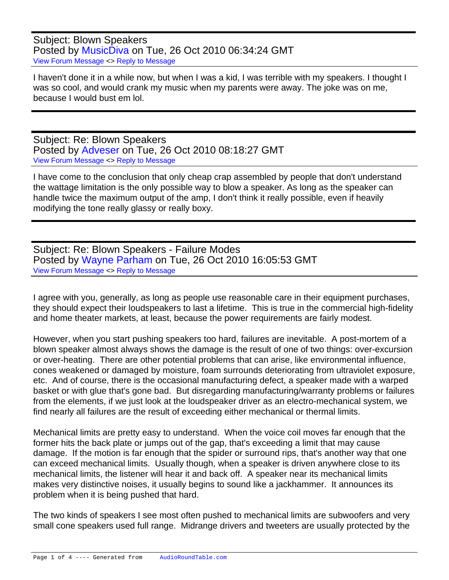Subject: Blown Speakers Posted by [MusicDiva](https://audioroundtable.com/forum/index.php?t=usrinfo&id=3923) on Tue, 26 Oct 2010 06:34:24 GMT [View Forum Message](https://audioroundtable.com/forum/index.php?t=rview&th=15380&goto=64499#msg_64499) <> [Reply to Message](https://audioroundtable.com/forum/index.php?t=post&reply_to=64499)

I haven't done it in a while now, but when I was a kid, I was terrible with my speakers. I thought I was so cool, and would crank my music when my parents were away. The joke was on me, because I would bust em lol.

Subject: Re: Blown Speakers Posted by [Adveser](https://audioroundtable.com/forum/index.php?t=usrinfo&id=3514) on Tue, 26 Oct 2010 08:18:27 GMT [View Forum Message](https://audioroundtable.com/forum/index.php?t=rview&th=15380&goto=64501#msg_64501) <> [Reply to Message](https://audioroundtable.com/forum/index.php?t=post&reply_to=64501)

I have come to the conclusion that only cheap crap assembled by people that don't understand the wattage limitation is the only possible way to blow a speaker. As long as the speaker can handle twice the maximum output of the amp, I don't think it really possible, even if heavily modifying the tone really glassy or really boxy.

Subject: Re: Blown Speakers - Failure Modes Posted by [Wayne Parham](https://audioroundtable.com/forum/index.php?t=usrinfo&id=5) on Tue, 26 Oct 2010 16:05:53 GMT [View Forum Message](https://audioroundtable.com/forum/index.php?t=rview&th=15380&goto=64502#msg_64502) <> [Reply to Message](https://audioroundtable.com/forum/index.php?t=post&reply_to=64502)

I agree with you, generally, as long as people use reasonable care in their equipment purchases, they should expect their loudspeakers to last a lifetime. This is true in the commercial high-fidelity and home theater markets, at least, because the power requirements are fairly modest.

However, when you start pushing speakers too hard, failures are inevitable. A post-mortem of a blown speaker almost always shows the damage is the result of one of two things: over-excursion or over-heating. There are other potential problems that can arise, like environmental influence, cones weakened or damaged by moisture, foam surrounds deteriorating from ultraviolet exposure, etc. And of course, there is the occasional manufacturing defect, a speaker made with a warped basket or with glue that's gone bad. But disregarding manufacturing/warranty problems or failures from the elements, if we just look at the loudspeaker driver as an electro-mechanical system, we find nearly all failures are the result of exceeding either mechanical or thermal limits.

Mechanical limits are pretty easy to understand. When the voice coil moves far enough that the former hits the back plate or jumps out of the gap, that's exceeding a limit that may cause damage. If the motion is far enough that the spider or surround rips, that's another way that one can exceed mechanical limits. Usually though, when a speaker is driven anywhere close to its mechanical limits, the listener will hear it and back off. A speaker near its mechanical limits makes very distinctive noises, it usually begins to sound like a jackhammer. It announces its problem when it is being pushed that hard.

The two kinds of speakers I see most often pushed to mechanical limits are subwoofers and very small cone speakers used full range. Midrange drivers and tweeters are usually protected by the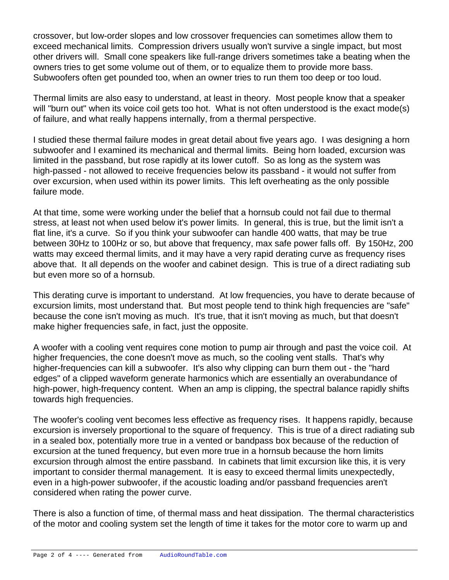crossover, but low-order slopes and low crossover frequencies can sometimes allow them to exceed mechanical limits. Compression drivers usually won't survive a single impact, but most other drivers will. Small cone speakers like full-range drivers sometimes take a beating when the owners tries to get some volume out of them, or to equalize them to provide more bass. Subwoofers often get pounded too, when an owner tries to run them too deep or too loud.

Thermal limits are also easy to understand, at least in theory. Most people know that a speaker will "burn out" when its voice coil gets too hot. What is not often understood is the exact mode(s) of failure, and what really happens internally, from a thermal perspective.

I studied these thermal failure modes in great detail about five years ago. I was designing a horn subwoofer and I examined its mechanical and thermal limits. Being horn loaded, excursion was limited in the passband, but rose rapidly at its lower cutoff. So as long as the system was high-passed - not allowed to receive frequencies below its passband - it would not suffer from over excursion, when used within its power limits. This left overheating as the only possible failure mode.

At that time, some were working under the belief that a hornsub could not fail due to thermal stress, at least not when used below it's power limits. In general, this is true, but the limit isn't a flat line, it's a curve. So if you think your subwoofer can handle 400 watts, that may be true between 30Hz to 100Hz or so, but above that frequency, max safe power falls off. By 150Hz, 200 watts may exceed thermal limits, and it may have a very rapid derating curve as frequency rises above that. It all depends on the woofer and cabinet design. This is true of a direct radiating sub but even more so of a hornsub.

This derating curve is important to understand. At low frequencies, you have to derate because of excursion limits, most understand that. But most people tend to think high frequencies are "safe" because the cone isn't moving as much. It's true, that it isn't moving as much, but that doesn't make higher frequencies safe, in fact, just the opposite.

A woofer with a cooling vent requires cone motion to pump air through and past the voice coil. At higher frequencies, the cone doesn't move as much, so the cooling vent stalls. That's why higher-frequencies can kill a subwoofer. It's also why clipping can burn them out - the "hard edges" of a clipped waveform generate harmonics which are essentially an overabundance of high-power, high-frequency content. When an amp is clipping, the spectral balance rapidly shifts towards high frequencies.

The woofer's cooling vent becomes less effective as frequency rises. It happens rapidly, because excursion is inversely proportional to the square of frequency. This is true of a direct radiating sub in a sealed box, potentially more true in a vented or bandpass box because of the reduction of excursion at the tuned frequency, but even more true in a hornsub because the horn limits excursion through almost the entire passband. In cabinets that limit excursion like this, it is very important to consider thermal management. It is easy to exceed thermal limits unexpectedly, even in a high-power subwoofer, if the acoustic loading and/or passband frequencies aren't considered when rating the power curve.

There is also a function of time, of thermal mass and heat dissipation. The thermal characteristics of the motor and cooling system set the length of time it takes for the motor core to warm up and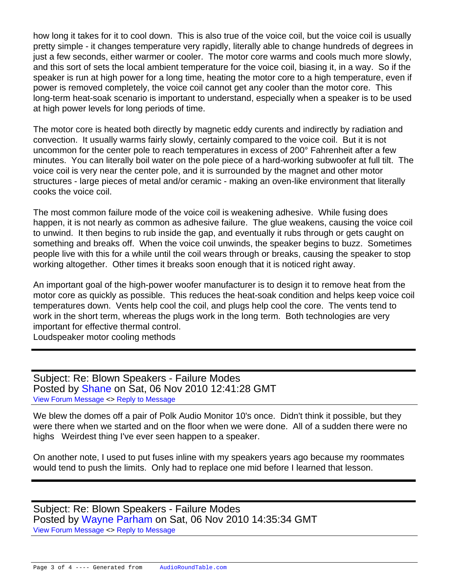how long it takes for it to cool down. This is also true of the voice coil, but the voice coil is usually pretty simple - it changes temperature very rapidly, literally able to change hundreds of degrees in just a few seconds, either warmer or cooler. The motor core warms and cools much more slowly, and this sort of sets the local ambient temperature for the voice coil, biasing it, in a way. So if the speaker is run at high power for a long time, heating the motor core to a high temperature, even if power is removed completely, the voice coil cannot get any cooler than the motor core. This long-term heat-soak scenario is important to understand, especially when a speaker is to be used at high power levels for long periods of time.

The motor core is heated both directly by magnetic eddy curents and indirectly by radiation and convection. It usually warms fairly slowly, certainly compared to the voice coil. But it is not uncommon for the center pole to reach temperatures in excess of 200° Fahrenheit after a few minutes. You can literally boil water on the pole piece of a hard-working subwoofer at full tilt. The voice coil is very near the center pole, and it is surrounded by the magnet and other motor structures - large pieces of metal and/or ceramic - making an oven-like environment that literally cooks the voice coil.

The most common failure mode of the voice coil is weakening adhesive. While fusing does happen, it is not nearly as common as adhesive failure. The glue weakens, causing the voice coil to unwind. It then begins to rub inside the gap, and eventually it rubs through or gets caught on something and breaks off. When the voice coil unwinds, the speaker begins to buzz. Sometimes people live with this for a while until the coil wears through or breaks, causing the speaker to stop working altogether. Other times it breaks soon enough that it is noticed right away.

An important goal of the high-power woofer manufacturer is to design it to remove heat from the motor core as quickly as possible. This reduces the heat-soak condition and helps keep voice coil temperatures down. Vents help cool the coil, and plugs help cool the core. The vents tend to work in the short term, whereas the plugs work in the long term. Both technologies are very important for effective thermal control.

Loudspeaker motor cooling methods

Subject: Re: Blown Speakers - Failure Modes Posted by [Shane](https://audioroundtable.com/forum/index.php?t=usrinfo&id=175) on Sat, 06 Nov 2010 12:41:28 GMT [View Forum Message](https://audioroundtable.com/forum/index.php?t=rview&th=15380&goto=64602#msg_64602) <> [Reply to Message](https://audioroundtable.com/forum/index.php?t=post&reply_to=64602)

We blew the domes off a pair of Polk Audio Monitor 10's once. Didn't think it possible, but they were there when we started and on the floor when we were done. All of a sudden there were no highs Weirdest thing I've ever seen happen to a speaker.

On another note, I used to put fuses inline with my speakers years ago because my roommates would tend to push the limits. Only had to replace one mid before I learned that lesson.

Subject: Re: Blown Speakers - Failure Modes Posted by [Wayne Parham](https://audioroundtable.com/forum/index.php?t=usrinfo&id=5) on Sat, 06 Nov 2010 14:35:34 GMT [View Forum Message](https://audioroundtable.com/forum/index.php?t=rview&th=15380&goto=64603#msg_64603) <> [Reply to Message](https://audioroundtable.com/forum/index.php?t=post&reply_to=64603)